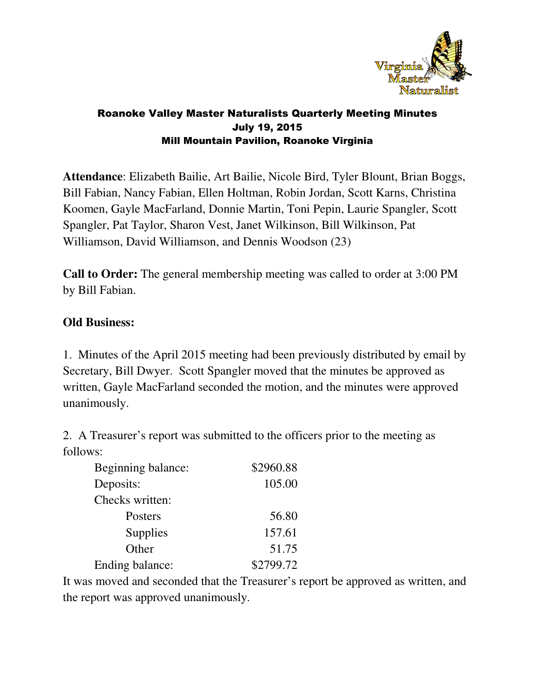

#### Roanoke Valley Master Naturalists Quarterly Meeting Minutes July 19, 2015 Mill Mountain Pavilion, Roanoke Virginia

**Attendance**: Elizabeth Bailie, Art Bailie, Nicole Bird, Tyler Blount, Brian Boggs, Bill Fabian, Nancy Fabian, Ellen Holtman, Robin Jordan, Scott Karns, Christina Koomen, Gayle MacFarland, Donnie Martin, Toni Pepin, Laurie Spangler, Scott Spangler, Pat Taylor, Sharon Vest, Janet Wilkinson, Bill Wilkinson, Pat Williamson, David Williamson, and Dennis Woodson (23)

**Call to Order:** The general membership meeting was called to order at 3:00 PM by Bill Fabian.

#### **Old Business:**

1. Minutes of the April 2015 meeting had been previously distributed by email by Secretary, Bill Dwyer. Scott Spangler moved that the minutes be approved as written, Gayle MacFarland seconded the motion, and the minutes were approved unanimously.

2. A Treasurer's report was submitted to the officers prior to the meeting as follows:

| Beginning balance: | \$2960.88 |
|--------------------|-----------|
| Deposits:          | 105.00    |
| Checks written:    |           |
| Posters            | 56.80     |
| <b>Supplies</b>    | 157.61    |
| Other              | 51.75     |
| Ending balance:    | \$2799.72 |

It was moved and seconded that the Treasurer's report be approved as written, and the report was approved unanimously.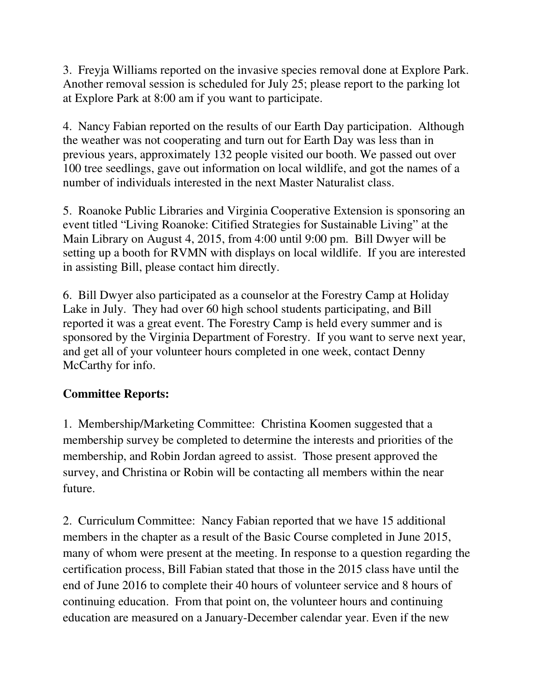3. Freyja Williams reported on the invasive species removal done at Explore Park. Another removal session is scheduled for July 25; please report to the parking lot at Explore Park at 8:00 am if you want to participate.

4. Nancy Fabian reported on the results of our Earth Day participation. Although the weather was not cooperating and turn out for Earth Day was less than in previous years, approximately 132 people visited our booth. We passed out over 100 tree seedlings, gave out information on local wildlife, and got the names of a number of individuals interested in the next Master Naturalist class.

5. Roanoke Public Libraries and Virginia Cooperative Extension is sponsoring an event titled "Living Roanoke: Citified Strategies for Sustainable Living" at the Main Library on August 4, 2015, from 4:00 until 9:00 pm. Bill Dwyer will be setting up a booth for RVMN with displays on local wildlife. If you are interested in assisting Bill, please contact him directly.

6. Bill Dwyer also participated as a counselor at the Forestry Camp at Holiday Lake in July. They had over 60 high school students participating, and Bill reported it was a great event. The Forestry Camp is held every summer and is sponsored by the Virginia Department of Forestry. If you want to serve next year, and get all of your volunteer hours completed in one week, contact Denny McCarthy for info.

# **Committee Reports:**

1. Membership/Marketing Committee: Christina Koomen suggested that a membership survey be completed to determine the interests and priorities of the membership, and Robin Jordan agreed to assist. Those present approved the survey, and Christina or Robin will be contacting all members within the near future.

2. Curriculum Committee: Nancy Fabian reported that we have 15 additional members in the chapter as a result of the Basic Course completed in June 2015, many of whom were present at the meeting. In response to a question regarding the certification process, Bill Fabian stated that those in the 2015 class have until the end of June 2016 to complete their 40 hours of volunteer service and 8 hours of continuing education. From that point on, the volunteer hours and continuing education are measured on a January-December calendar year. Even if the new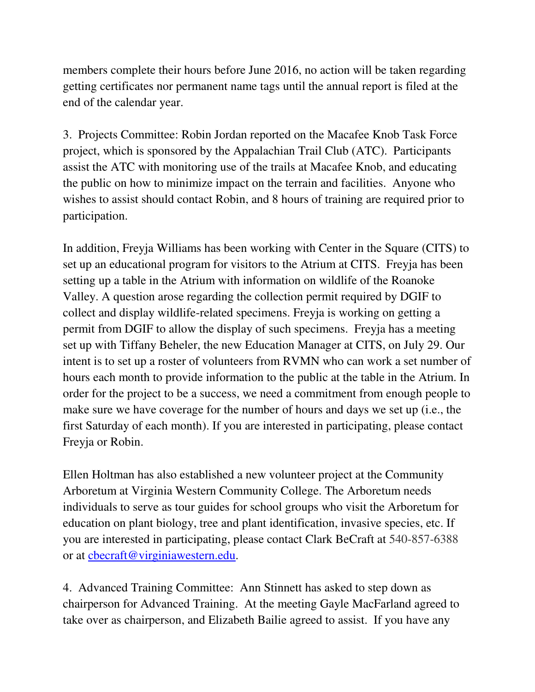members complete their hours before June 2016, no action will be taken regarding getting certificates nor permanent name tags until the annual report is filed at the end of the calendar year.

3. Projects Committee: Robin Jordan reported on the Macafee Knob Task Force project, which is sponsored by the Appalachian Trail Club (ATC). Participants assist the ATC with monitoring use of the trails at Macafee Knob, and educating the public on how to minimize impact on the terrain and facilities. Anyone who wishes to assist should contact Robin, and 8 hours of training are required prior to participation.

In addition, Freyja Williams has been working with Center in the Square (CITS) to set up an educational program for visitors to the Atrium at CITS. Freyja has been setting up a table in the Atrium with information on wildlife of the Roanoke Valley. A question arose regarding the collection permit required by DGIF to collect and display wildlife-related specimens. Freyja is working on getting a permit from DGIF to allow the display of such specimens. Freyja has a meeting set up with Tiffany Beheler, the new Education Manager at CITS, on July 29. Our intent is to set up a roster of volunteers from RVMN who can work a set number of hours each month to provide information to the public at the table in the Atrium. In order for the project to be a success, we need a commitment from enough people to make sure we have coverage for the number of hours and days we set up (i.e., the first Saturday of each month). If you are interested in participating, please contact Freyja or Robin.

Ellen Holtman has also established a new volunteer project at the Community Arboretum at Virginia Western Community College. The Arboretum needs individuals to serve as tour guides for school groups who visit the Arboretum for education on plant biology, tree and plant identification, invasive species, etc. If you are interested in participating, please contact Clark BeCraft at 540-857-6388 or at cbecraft@virginiawestern.edu.

4. Advanced Training Committee: Ann Stinnett has asked to step down as chairperson for Advanced Training. At the meeting Gayle MacFarland agreed to take over as chairperson, and Elizabeth Bailie agreed to assist. If you have any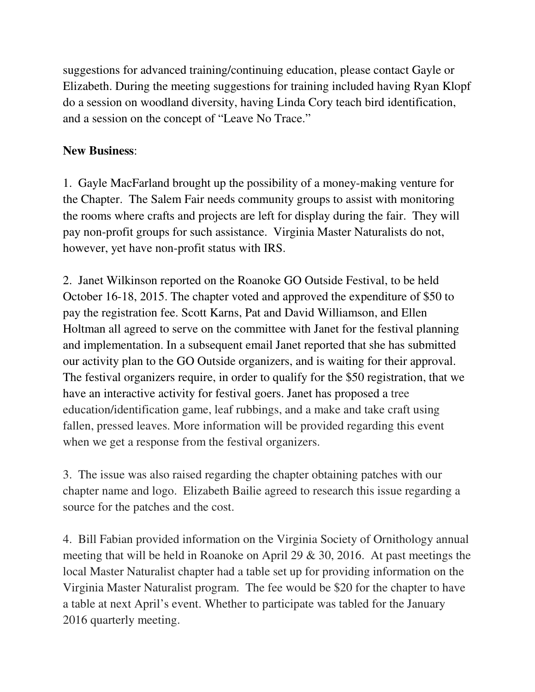suggestions for advanced training/continuing education, please contact Gayle or Elizabeth. During the meeting suggestions for training included having Ryan Klopf do a session on woodland diversity, having Linda Cory teach bird identification, and a session on the concept of "Leave No Trace."

# **New Business**:

1. Gayle MacFarland brought up the possibility of a money-making venture for the Chapter. The Salem Fair needs community groups to assist with monitoring the rooms where crafts and projects are left for display during the fair. They will pay non-profit groups for such assistance. Virginia Master Naturalists do not, however, yet have non-profit status with IRS.

2. Janet Wilkinson reported on the Roanoke GO Outside Festival, to be held October 16-18, 2015. The chapter voted and approved the expenditure of \$50 to pay the registration fee. Scott Karns, Pat and David Williamson, and Ellen Holtman all agreed to serve on the committee with Janet for the festival planning and implementation. In a subsequent email Janet reported that she has submitted our activity plan to the GO Outside organizers, and is waiting for their approval. The festival organizers require, in order to qualify for the \$50 registration, that we have an interactive activity for festival goers. Janet has proposed a tree education/identification game, leaf rubbings, and a make and take craft using fallen, pressed leaves. More information will be provided regarding this event when we get a response from the festival organizers.

3. The issue was also raised regarding the chapter obtaining patches with our chapter name and logo. Elizabeth Bailie agreed to research this issue regarding a source for the patches and the cost.

4. Bill Fabian provided information on the Virginia Society of Ornithology annual meeting that will be held in Roanoke on April 29 & 30, 2016. At past meetings the local Master Naturalist chapter had a table set up for providing information on the Virginia Master Naturalist program. The fee would be \$20 for the chapter to have a table at next April's event. Whether to participate was tabled for the January 2016 quarterly meeting.